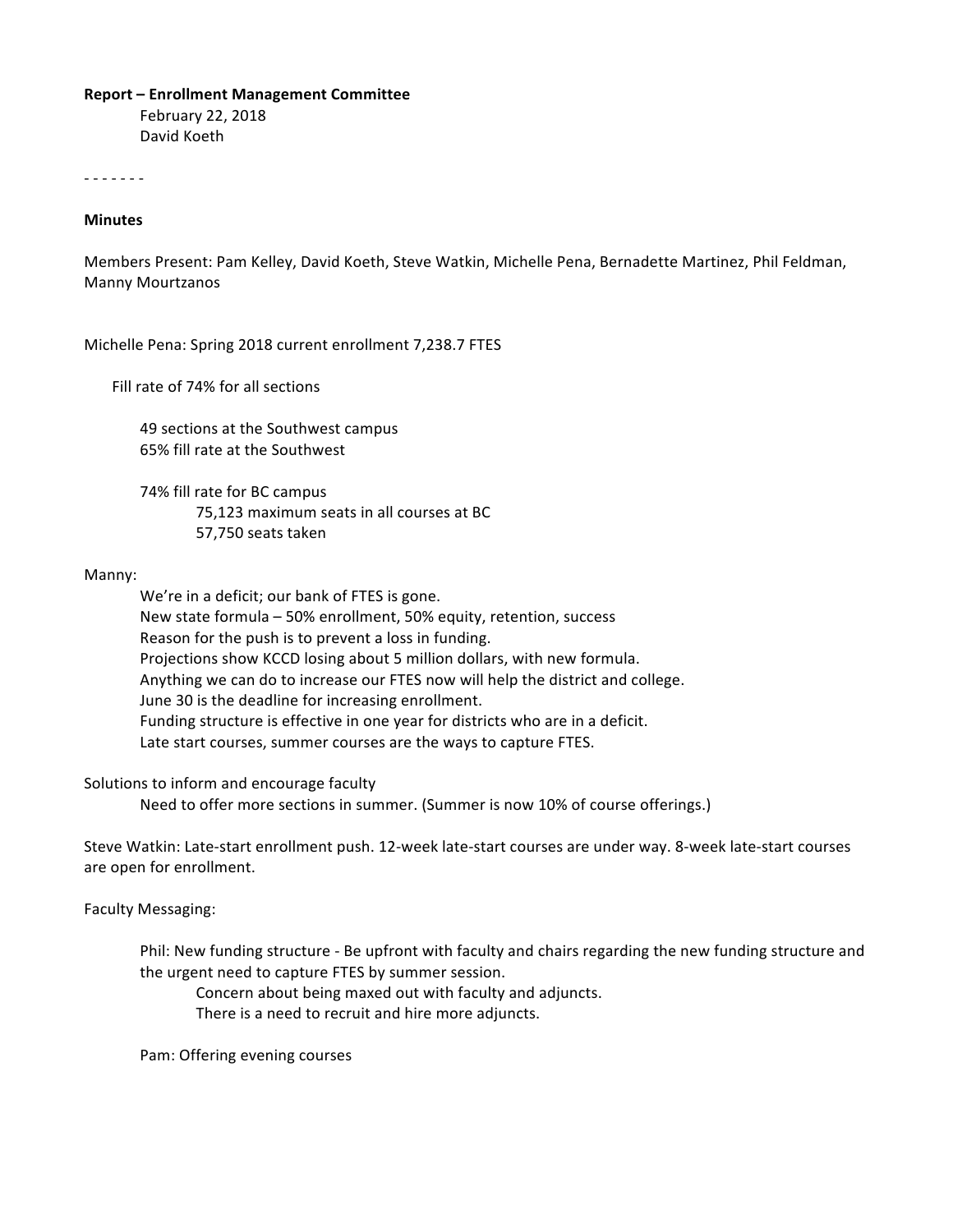#### **Report – Enrollment Management Committee**

February 22, 2018 David Koeth

- - - - - - -

### **Minutes**

Members Present: Pam Kelley, David Koeth, Steve Watkin, Michelle Pena, Bernadette Martinez, Phil Feldman, Manny Mourtzanos

Michelle Pena: Spring 2018 current enrollment 7,238.7 FTES

Fill rate of 74% for all sections

49 sections at the Southwest campus 65% fill rate at the Southwest

74% fill rate for BC campus 75,123 maximum seats in all courses at BC 57,750 seats taken

#### Manny:

We're in a deficit; our bank of FTES is gone. New state formula - 50% enrollment, 50% equity, retention, success Reason for the push is to prevent a loss in funding. Projections show KCCD losing about 5 million dollars, with new formula. Anything we can do to increase our FTES now will help the district and college. June 30 is the deadline for increasing enrollment. Funding structure is effective in one year for districts who are in a deficit. Late start courses, summer courses are the ways to capture FTES.

Solutions to inform and encourage faculty

Need to offer more sections in summer. (Summer is now 10% of course offerings.)

Steve Watkin: Late-start enrollment push. 12-week late-start courses are under way. 8-week late-start courses are open for enrollment.

Faculty Messaging:

Phil: New funding structure - Be upfront with faculty and chairs regarding the new funding structure and the urgent need to capture FTES by summer session.

Concern about being maxed out with faculty and adjuncts.

There is a need to recruit and hire more adjuncts.

Pam: Offering evening courses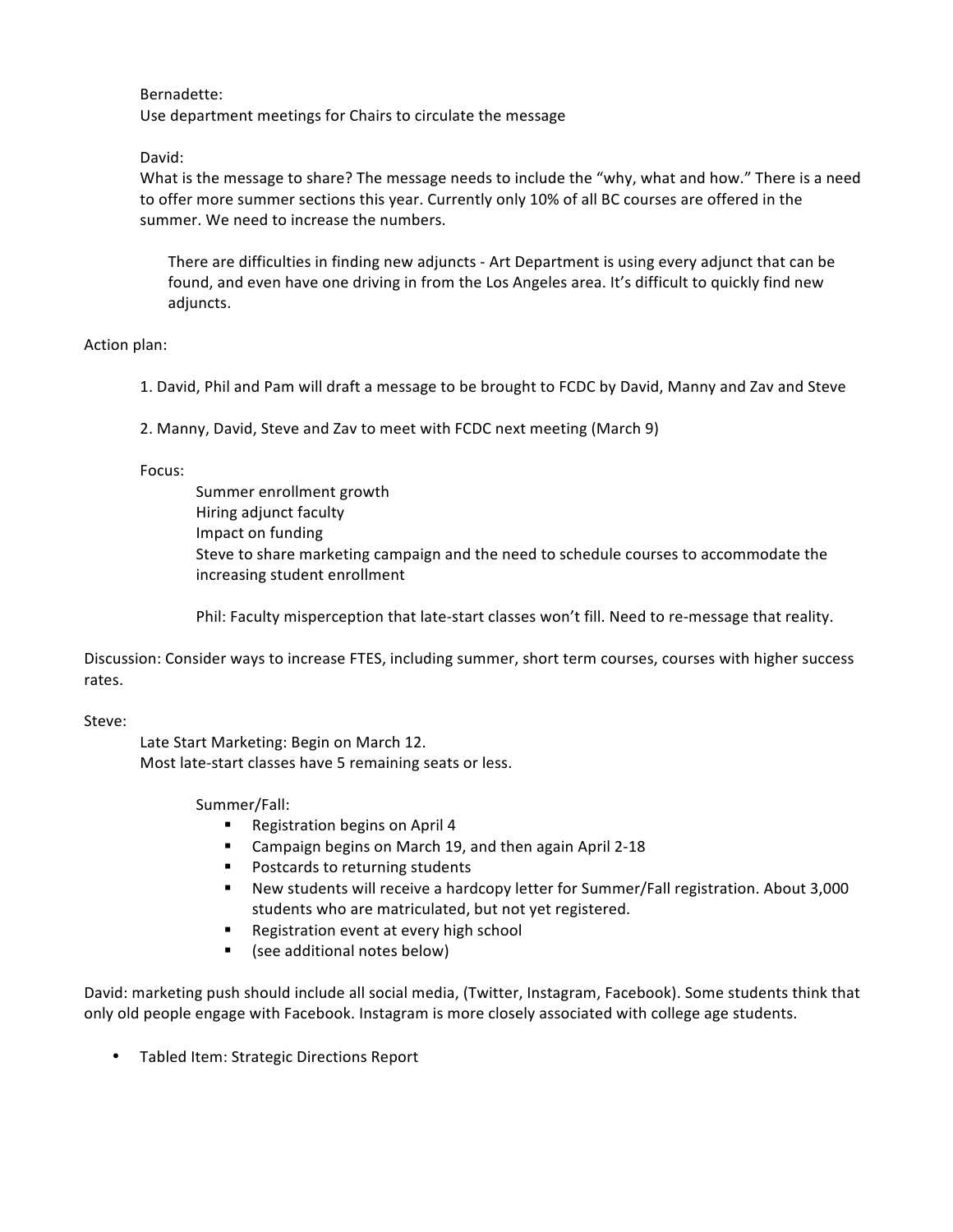Bernadette: 

Use department meetings for Chairs to circulate the message

David:

What is the message to share? The message needs to include the "why, what and how." There is a need to offer more summer sections this year. Currently only 10% of all BC courses are offered in the summer. We need to increase the numbers.

There are difficulties in finding new adjuncts - Art Department is using every adjunct that can be found, and even have one driving in from the Los Angeles area. It's difficult to quickly find new adjuncts.

Action plan:

1. David, Phil and Pam will draft a message to be brought to FCDC by David, Manny and Zav and Steve

2. Manny, David, Steve and Zav to meet with FCDC next meeting (March 9)

Focus:

Summer enrollment growth Hiring adjunct faculty Impact on funding Steve to share marketing campaign and the need to schedule courses to accommodate the increasing student enrollment

Phil: Faculty misperception that late-start classes won't fill. Need to re-message that reality.

Discussion: Consider ways to increase FTES, including summer, short term courses, courses with higher success rates.

Steve:

Late Start Marketing: Begin on March 12. Most late-start classes have 5 remaining seats or less.

Summer/Fall:

- Registration begins on April 4
- Campaign begins on March 19, and then again April 2-18
- Postcards to returning students
- New students will receive a hardcopy letter for Summer/Fall registration. About 3,000 students who are matriculated, but not yet registered.
- Registration event at every high school
- (see additional notes below)

David: marketing push should include all social media, (Twitter, Instagram, Facebook). Some students think that only old people engage with Facebook. Instagram is more closely associated with college age students.

• Tabled Item: Strategic Directions Report